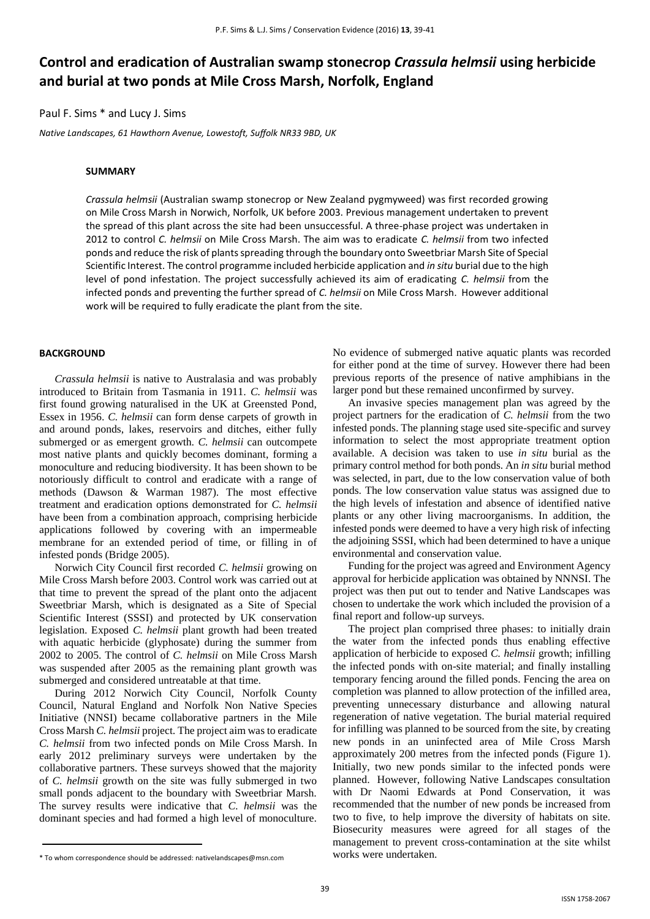# **Control and eradication of Australian swamp stonecrop** *Crassula helmsii* **using herbicide and burial at two ponds at Mile Cross Marsh, Norfolk, England**

# Paul F. Sims \* and Lucy J. Sims

*Native Landscapes, 61 Hawthorn Avenue, Lowestoft, Suffolk NR33 9BD, UK*

#### **SUMMARY**

*Crassula helmsii* (Australian swamp stonecrop or New Zealand pygmyweed) was first recorded growing on Mile Cross Marsh in Norwich, Norfolk, UK before 2003. Previous management undertaken to prevent the spread of this plant across the site had been unsuccessful. A three-phase project was undertaken in 2012 to control *C. helmsii* on Mile Cross Marsh. The aim was to eradicate *C. helmsii* from two infected ponds and reduce the risk of plants spreading through the boundary onto Sweetbriar Marsh Site of Special Scientific Interest. The control programme included herbicide application and *in situ* burial due to the high level of pond infestation. The project successfully achieved its aim of eradicating *C. helmsii* from the infected ponds and preventing the further spread of *C. helmsii* on Mile Cross Marsh. However additional work will be required to fully eradicate the plant from the site.

## **BACKGROUND**

*Crassula helmsii* is native to Australasia and was probably introduced to Britain from Tasmania in 1911. *C. helmsii* was first found growing naturalised in the UK at Greensted Pond, Essex in 1956. *C. helmsii* can form dense carpets of growth in and around ponds, lakes, reservoirs and ditches, either fully submerged or as emergent growth. *C. helmsii* can outcompete most native plants and quickly becomes dominant, forming a monoculture and reducing biodiversity. It has been shown to be notoriously difficult to control and eradicate with a range of methods (Dawson & Warman 1987). The most effective treatment and eradication options demonstrated for *C. helmsii* have been from a combination approach, comprising herbicide applications followed by covering with an impermeable membrane for an extended period of time, or filling in of infested ponds (Bridge 2005).

Norwich City Council first recorded *C. helmsii* growing on Mile Cross Marsh before 2003. Control work was carried out at that time to prevent the spread of the plant onto the adjacent Sweetbriar Marsh, which is designated as a Site of Special Scientific Interest (SSSI) and protected by UK conservation legislation. Exposed *C. helmsii* plant growth had been treated with aquatic herbicide (glyphosate) during the summer from 2002 to 2005. The control of *C. helmsii* on Mile Cross Marsh was suspended after 2005 as the remaining plant growth was submerged and considered untreatable at that time.

During 2012 Norwich City Council, Norfolk County Council, Natural England and Norfolk Non Native Species Initiative (NNSI) became collaborative partners in the Mile Cross Marsh *C. helmsii* project. The project aim was to eradicate *C. helmsii* from two infected ponds on Mile Cross Marsh. In early 2012 preliminary surveys were undertaken by the collaborative partners. These surveys showed that the majority of *C. helmsii* growth on the site was fully submerged in two small ponds adjacent to the boundary with Sweetbriar Marsh. The survey results were indicative that *C. helmsii* was the dominant species and had formed a high level of monoculture.

No evidence of submerged native aquatic plants was recorded for either pond at the time of survey. However there had been previous reports of the presence of native amphibians in the larger pond but these remained unconfirmed by survey.

An invasive species management plan was agreed by the project partners for the eradication of *C. helmsii* from the two infested ponds. The planning stage used site-specific and survey information to select the most appropriate treatment option available. A decision was taken to use *in situ* burial as the primary control method for both ponds. An *in situ* burial method was selected, in part, due to the low conservation value of both ponds. The low conservation value status was assigned due to the high levels of infestation and absence of identified native plants or any other living macroorganisms. In addition, the infested ponds were deemed to have a very high risk of infecting the adjoining SSSI, which had been determined to have a unique environmental and conservation value.

Funding for the project was agreed and Environment Agency approval for herbicide application was obtained by NNNSI. The project was then put out to tender and Native Landscapes was chosen to undertake the work which included the provision of a final report and follow-up surveys.

The project plan comprised three phases: to initially drain the water from the infected ponds thus enabling effective application of herbicide to exposed *C. helmsii* growth; infilling the infected ponds with on-site material; and finally installing temporary fencing around the filled ponds. Fencing the area on completion was planned to allow protection of the infilled area, preventing unnecessary disturbance and allowing natural regeneration of native vegetation. The burial material required for infilling was planned to be sourced from the site, by creating new ponds in an uninfected area of Mile Cross Marsh approximately 200 metres from the infected ponds (Figure 1). Initially, two new ponds similar to the infected ponds were planned. However, following Native Landscapes consultation with Dr Naomi Edwards at Pond Conservation, it was recommended that the number of new ponds be increased from two to five, to help improve the diversity of habitats on site. Biosecurity measures were agreed for all stages of the management to prevent cross-contamination at the site whilst works were undertaken.

<sup>\*</sup> To whom correspondence should be addressed: nativelandscapes@msn.com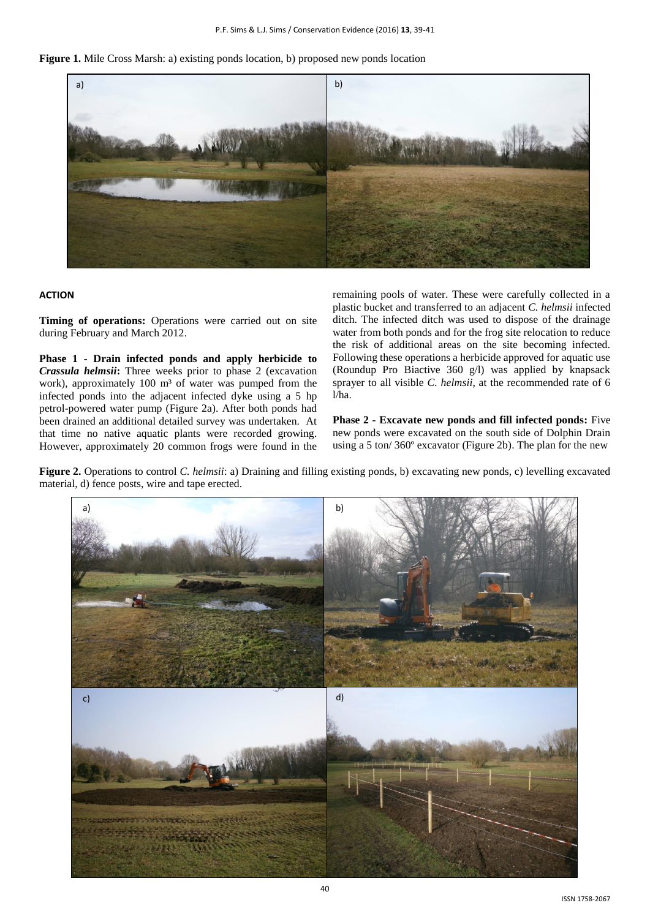**Figure 1.** Mile Cross Marsh: a) existing ponds location, b) proposed new ponds location



### **ACTION**

**Timing of operations:** Operations were carried out on site during February and March 2012.

**Phase 1 - Drain infected ponds and apply herbicide to**  *Crassula helmsii***:** Three weeks prior to phase 2 (excavation work), approximately 100 m<sup>3</sup> of water was pumped from the infected ponds into the adjacent infected dyke using a 5 hp petrol-powered water pump (Figure 2a). After both ponds had been drained an additional detailed survey was undertaken. At that time no native aquatic plants were recorded growing. However, approximately 20 common frogs were found in the remaining pools of water. These were carefully collected in a plastic bucket and transferred to an adjacent *C. helmsii* infected ditch. The infected ditch was used to dispose of the drainage water from both ponds and for the frog site relocation to reduce the risk of additional areas on the site becoming infected. Following these operations a herbicide approved for aquatic use (Roundup Pro Biactive 360 g/l) was applied by knapsack sprayer to all visible *C. helmsii*, at the recommended rate of 6 l/ha.

**Phase 2 - Excavate new ponds and fill infected ponds:** Five new ponds were excavated on the south side of Dolphin Drain using a 5 ton/ 360º excavator (Figure 2b). The plan for the new

**Figure 2.** Operations to control *C. helmsii*: a) Draining and filling existing ponds, b) excavating new ponds, c) levelling excavated material, d) fence posts, wire and tape erected.